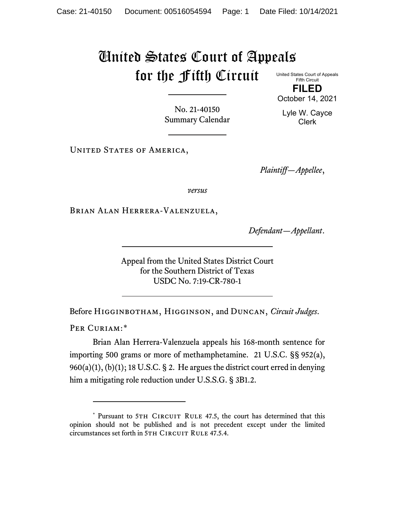## United States Court of Appeals for the Fifth Circuit

United States Court of Appeals Fifth Circuit **FILED**

No. 21-40150 Summary Calendar

Lyle W. Cayce Clerk

October 14, 2021

UNITED STATES OF AMERICA,

*Plaintiff—Appellee*,

*versus*

Brian Alan Herrera-Valenzuela,

*Defendant—Appellant*.

Appeal from the United States District Court for the Southern District of Texas USDC No. 7:19-CR-780-1

Before Higginbotham, Higginson, and Duncan, *Circuit Judges*.

PER CURIAM:[\\*](#page-0-0)

Brian Alan Herrera-Valenzuela appeals his 168-month sentence for importing 500 grams or more of methamphetamine. 21 U.S.C. §§ 952(a),  $960(a)(1)$ ,  $(b)(1)$ ; 18 U.S.C. § 2. He argues the district court erred in denying him a mitigating role reduction under U.S.S.G. § 3B1.2.

<span id="page-0-0"></span><sup>\*</sup> Pursuant to 5TH CIRCUIT RULE 47.5, the court has determined that this opinion should not be published and is not precedent except under the limited circumstances set forth in 5TH CIRCUIT RULE 47.5.4.